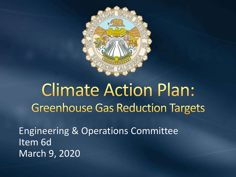

# **Climate Action Plan: Greenhouse Gas Reduction Targets**

Engineering & Operations Committee Item 6d March 9, 2020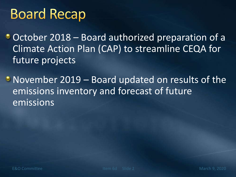## **Board Recap**

October 2018 – Board authorized preparation of a Climate Action Plan (CAP) to streamline CEQA for future projects

• November 2019 – Board updated on results of the emissions inventory and forecast of future emissions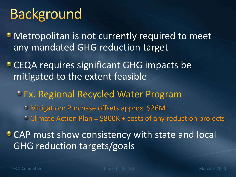# **Background**

**Metropolitan is not currently required to meet** any mandated GHG reduction target

• CEQA requires significant GHG impacts be mitigated to the extent feasible

Ex. Regional Recycled Water Program Mitigation: Purchase offsets approx. \$26M  $\circ$  Climate Action Plan =  $$800K + \text{costs}$  of any reduction projects

**CAP must show consistency with state and local** GHG reduction targets/goals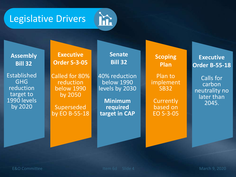



**Assembly Bill 32** Established GHG

reduction target to 1990 levels by 2020

**Executive Order S-3-05**

Called for 80% reduction below 1990 by 2050

Superseded by EO B-55-18 **Senate Bill 32**

40% reduction below 1990 levels by 2030

**Minimum required target in CAP** **Scoping Plan**

Plan to implement SB32

**Currently** based on EO S-3-05

**Executive Order B-55-18**

Calls for carbon neutrality no later than 2045.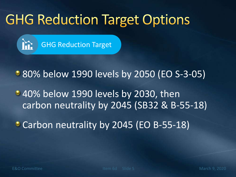# **GHG Reduction Target Options**



**80% below 1990 levels by 2050 (EO S-3-05)** 

 $\bullet$  40% below 1990 levels by 2030, then carbon neutrality by 2045 (SB32 & B-55-18)

• Carbon neutrality by 2045 (EO B-55-18)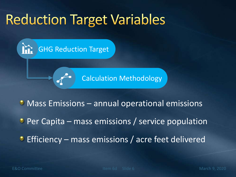## **Reduction Target Variables**

GHG Reduction Target

Calculation Methodology

• Mass Emissions – annual operational emissions

**Per Capita – mass emissions / service population** 

**Efficiency** – mass emissions / acre feet delivered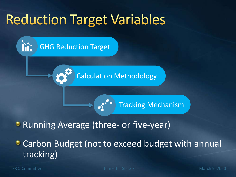# **Reduction Target Variables**

GHG Reduction Target

Calculation Methodology

Tracking Mechanism

#### **• Running Average (three- or five-year)**

• Carbon Budget (not to exceed budget with annual tracking)

E&O Committee Item 6d Slide 7 March 9, 2020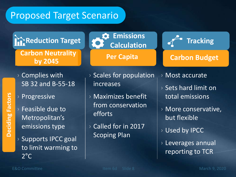#### Proposed Target Scenario

**Reduction Target Emissions** 

**Carbon Neutrality | Review Per Capita** | Carbon Budget **by 2045** 

- › Complies with SB 32 and B-55-18
- › Progressive
- › Feasible due to Metropolitan's emissions type
- › Supports IPCC goal to limit warming to  $2^{\circ}$ C

› Scales for population increases

**Per Capita** 

**Calculation**

- › Maximizes benefit from conservation efforts
- › Called for in 2017 **Scoping Plan**
- › Most accurate
- › Sets hard limit on total emissions

**Tracking**

- › More conservative, but flexible
- › Used by IPCC
- › Leverages annual reporting to TCR

**Deciding Factors**

Deciding Factors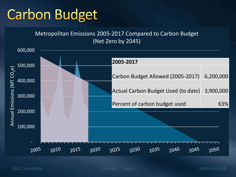# **Carbon Budget**

Metropolitan Emissions 2005-2017 Compared to Carbon Budget (Net Zero by 2045)

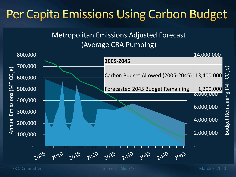### Per Capita Emissions Using Carbon Budget

#### Metropolitan Emissions Adjusted Forecast (Average CRA Pumping)



E&O Committee Item 6d Slide 10 March 9, 2020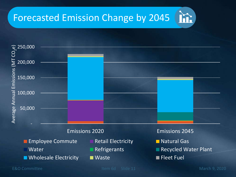### Forecasted Emission Change by 2045

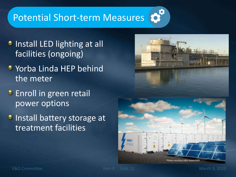#### Potential Short-term Measures

- **Install LED lighting at all** facilities (ongoing)
- **Yorba Linda HEP behind** the meter
- **Enroll in green retail** power options
- **Install battery storage at** treatment facilities



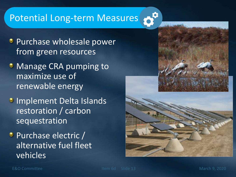#### Potential Long-term Measures

- **Purchase wholesale power** from green resources
- Manage CRA pumping to maximize use of renewable energy
- **Jumplement Delta Islands** restoration / carbon sequestration
- **Purchase electric /** alternative fuel fleet vehicles



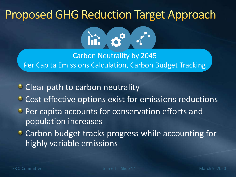### **Proposed GHG Reduction Target Approach**



Carbon Neutrality by 2045 Per Capita Emissions Calculation, Carbon Budget Tracking

- Clear path to carbon neutrality
- **Cost effective options exist for emissions reductions**
- **Per capita accounts for conservation efforts and** population increases
- **Carbon budget tracks progress while accounting for** highly variable emissions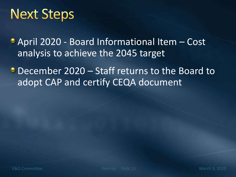### **Next Steps**

April 2020 - Board Informational Item – Cost analysis to achieve the 2045 target

**December 2020 – Staff returns to the Board to** adopt CAP and certify CEQA document